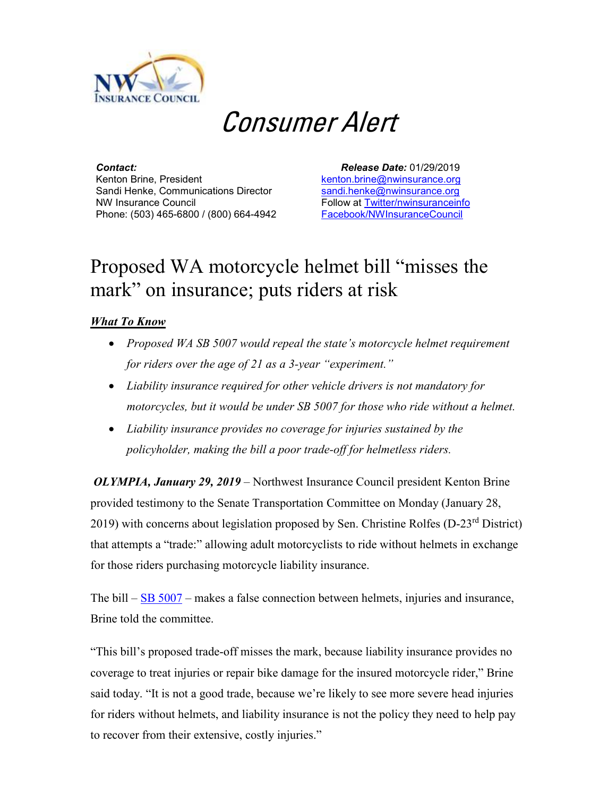

## Consumer Alert

*Contact:* Kenton Brine, President Sandi Henke, Communications Director NW Insurance Council Phone: (503) 465-6800 / (800) 664-4942

 *Release Date:* 01/29/2019 [kenton.brine@nwinsurance.org](mailto:kenton.brine@nwinsurance.org) [sandi.henke@nwinsurance.org](mailto:sandi.henke@nwinsurance.org) Follow at [Twitter/nwinsuranceinfo](http://twitter.com/#!/nwinsuranceinfo) [Facebook/NWInsuranceCouncil](https://www.facebook.com/NWInsuranceCouncil)

## Proposed WA motorcycle helmet bill "misses the mark" on insurance; puts riders at risk

## *What To Know*

- *Proposed WA SB 5007 would repeal the state's motorcycle helmet requirement for riders over the age of 21 as a 3-year "experiment."*
- *Liability insurance required for other vehicle drivers is not mandatory for motorcycles, but it would be under SB 5007 for those who ride without a helmet.*
- *Liability insurance provides no coverage for injuries sustained by the policyholder, making the bill a poor trade-off for helmetless riders.*

*OLYMPIA, January 29, 2019 –* Northwest Insurance Council president Kenton Brine provided testimony to the Senate Transportation Committee on Monday (January 28, 2019) with concerns about legislation proposed by Sen. Christine Rolfes (D-23<sup>rd</sup> District) that attempts a "trade:" allowing adult motorcyclists to ride without helmets in exchange for those riders purchasing motorcycle liability insurance.

The bill – [SB 5007](https://app.leg.wa.gov/billsummary?BillNumber=5007&Year=2019&Initiative=false) – makes a false connection between helmets, injuries and insurance, Brine told the committee.

"This bill's proposed trade-off misses the mark, because liability insurance provides no coverage to treat injuries or repair bike damage for the insured motorcycle rider," Brine said today. "It is not a good trade, because we're likely to see more severe head injuries for riders without helmets, and liability insurance is not the policy they need to help pay to recover from their extensive, costly injuries."